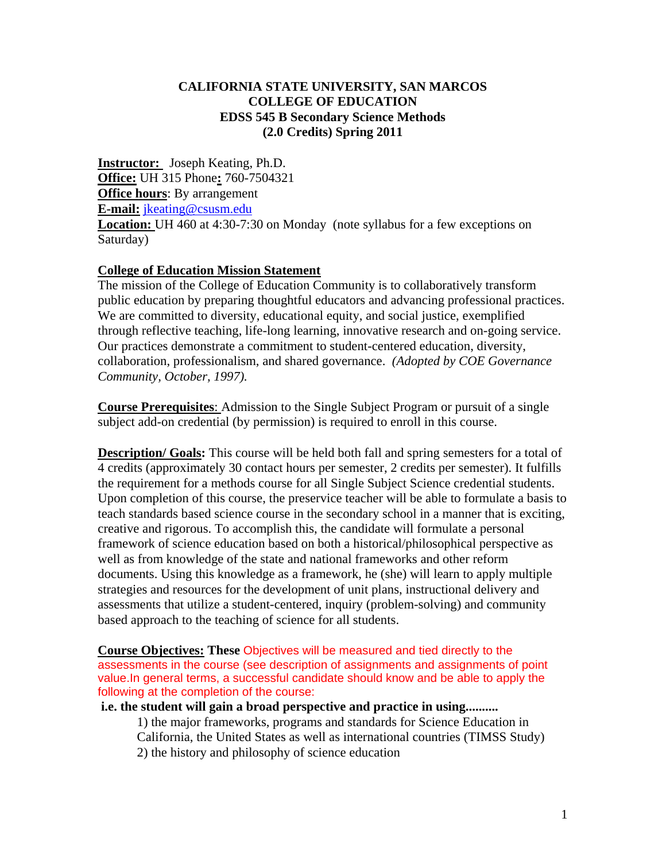#### **CALIFORNIA STATE UNIVERSITY, SAN MARCOS COLLEGE OF EDUCATION EDSS 545 B Secondary Science Methods (2.0 Credits) Spring 2011**

**Instructor:** Joseph Keating, Ph.D. **Office:** UH 315 Phone**:** 760-7504321 **Office hours**: By arrangement **E-mail:** jkeating@csusm.edu **Location:** UH 460 at 4:30-7:30 on Monday (note syllabus for a few exceptions on Saturday)

#### **College of Education Mission Statement**

The mission of the College of Education Community is to collaboratively transform public education by preparing thoughtful educators and advancing professional practices. We are committed to diversity, educational equity, and social justice, exemplified through reflective teaching, life-long learning, innovative research and on-going service. Our practices demonstrate a commitment to student-centered education, diversity, collaboration, professionalism, and shared governance. *(Adopted by COE Governance Community, October, 1997).* 

**Course Prerequisites**: Admission to the Single Subject Program or pursuit of a single subject add-on credential (by permission) is required to enroll in this course.

**Description/ Goals:** This course will be held both fall and spring semesters for a total of 4 credits (approximately 30 contact hours per semester, 2 credits per semester). It fulfills the requirement for a methods course for all Single Subject Science credential students. Upon completion of this course, the preservice teacher will be able to formulate a basis to teach standards based science course in the secondary school in a manner that is exciting, creative and rigorous. To accomplish this, the candidate will formulate a personal framework of science education based on both a historical/philosophical perspective as well as from knowledge of the state and national frameworks and other reform documents. Using this knowledge as a framework, he (she) will learn to apply multiple strategies and resources for the development of unit plans, instructional delivery and assessments that utilize a student-centered, inquiry (problem-solving) and community based approach to the teaching of science for all students.

**Course Objectives: These** Objectives will be measured and tied directly to the assessments in the course (see description of assignments and assignments of point value.In general terms, a successful candidate should know and be able to apply the following at the completion of the course:

**i.e. the student will gain a broad perspective and practice in using..........** 

1) the major frameworks, programs and standards for Science Education in California, the United States as well as international countries (TIMSS Study) 2) the history and philosophy of science education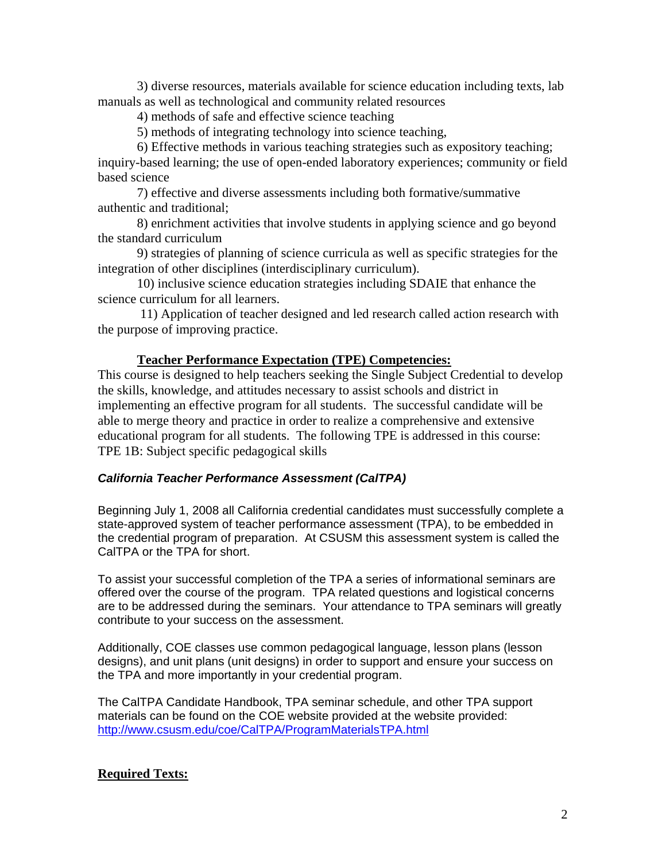3) diverse resources, materials available for science education including texts, lab manuals as well as technological and community related resources

4) methods of safe and effective science teaching

5) methods of integrating technology into science teaching,

6) Effective methods in various teaching strategies such as expository teaching; inquiry-based learning; the use of open-ended laboratory experiences; community or field based science

7) effective and diverse assessments including both formative/summative authentic and traditional;

8) enrichment activities that involve students in applying science and go beyond the standard curriculum

9) strategies of planning of science curricula as well as specific strategies for the integration of other disciplines (interdisciplinary curriculum).

10) inclusive science education strategies including SDAIE that enhance the science curriculum for all learners.

11) Application of teacher designed and led research called action research with the purpose of improving practice.

# **Teacher Performance Expectation (TPE) Competencies:**

This course is designed to help teachers seeking the Single Subject Credential to develop the skills, knowledge, and attitudes necessary to assist schools and district in implementing an effective program for all students. The successful candidate will be able to merge theory and practice in order to realize a comprehensive and extensive educational program for all students. The following TPE is addressed in this course: TPE 1B: Subject specific pedagogical skills

#### *California Teacher Performance Assessment (CalTPA)*

Beginning July 1, 2008 all California credential candidates must successfully complete a state-approved system of teacher performance assessment (TPA), to be embedded in the credential program of preparation. At CSUSM this assessment system is called the CalTPA or the TPA for short.

To assist your successful completion of the TPA a series of informational seminars are offered over the course of the program. TPA related questions and logistical concerns are to be addressed during the seminars. Your attendance to TPA seminars will greatly contribute to your success on the assessment.

Additionally, COE classes use common pedagogical language, lesson plans (lesson designs), and unit plans (unit designs) in order to support and ensure your success on the TPA and more importantly in your credential program.

The CalTPA Candidate Handbook, TPA seminar schedule, and other TPA support materials can be found on the COE website provided at the website provided: http://www.csusm.edu/coe/CalTPA/ProgramMaterialsTPA.html

# **Required Texts:**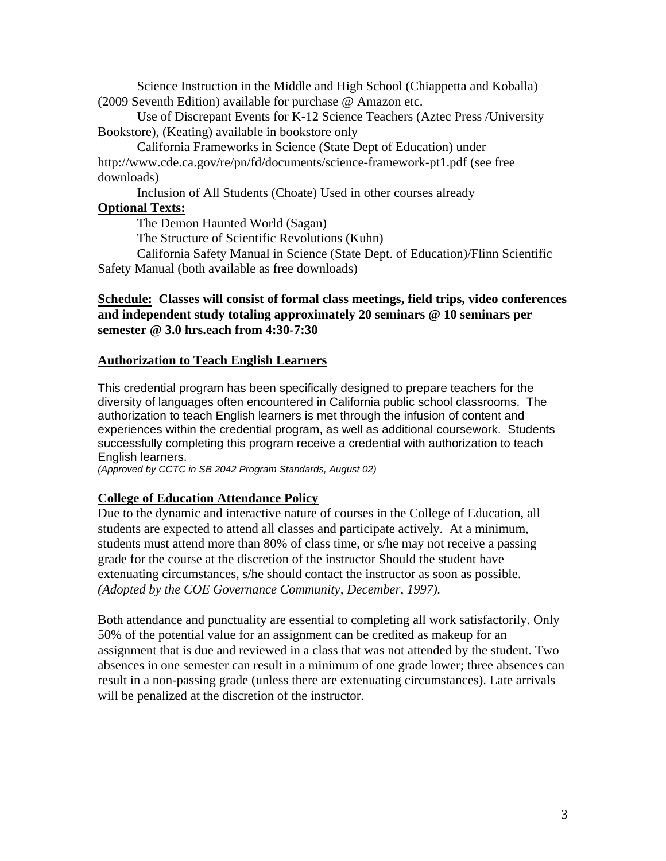Science Instruction in the Middle and High School (Chiappetta and Koballa) (2009 Seventh Edition) available for purchase @ Amazon etc.

Use of Discrepant Events for K-12 Science Teachers (Aztec Press /University Bookstore), (Keating) available in bookstore only

California Frameworks in Science (State Dept of Education) under http://www.cde.ca.gov/re/pn/fd/documents/science-framework-pt1.pdf (see free downloads)

Inclusion of All Students (Choate) Used in other courses already **Optional Texts:** 

The Demon Haunted World (Sagan)

The Structure of Scientific Revolutions (Kuhn)

California Safety Manual in Science (State Dept. of Education)/Flinn Scientific Safety Manual (both available as free downloads)

### **Schedule: Classes will consist of formal class meetings, field trips, video conferences and independent study totaling approximately 20 seminars @ 10 seminars per semester @ 3.0 hrs.each from 4:30-7:30**

### **Authorization to Teach English Learners**

This credential program has been specifically designed to prepare teachers for the diversity of languages often encountered in California public school classrooms. The authorization to teach English learners is met through the infusion of content and experiences within the credential program, as well as additional coursework. Students successfully completing this program receive a credential with authorization to teach English learners.

*(Approved by CCTC in SB 2042 Program Standards, August 02)* 

#### **College of Education Attendance Policy**

 *(Adopted by the COE Governance Community, December, 1997).* Due to the dynamic and interactive nature of courses in the College of Education, all students are expected to attend all classes and participate actively. At a minimum, students must attend more than 80% of class time, or s/he may not receive a passing grade for the course at the discretion of the instructor Should the student have extenuating circumstances, s/he should contact the instructor as soon as possible.

Both attendance and punctuality are essential to completing all work satisfactorily. Only 50% of the potential value for an assignment can be credited as makeup for an assignment that is due and reviewed in a class that was not attended by the student. Two absences in one semester can result in a minimum of one grade lower; three absences can result in a non-passing grade (unless there are extenuating circumstances). Late arrivals will be penalized at the discretion of the instructor.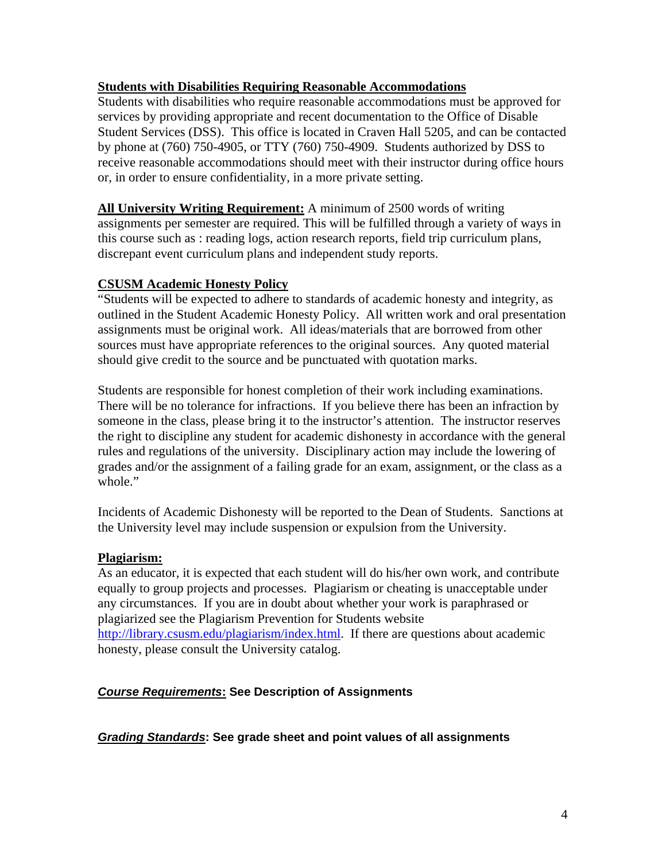### **Students with Disabilities Requiring Reasonable Accommodations**

Students with disabilities who require reasonable accommodations must be approved for services by providing appropriate and recent documentation to the Office of Disable Student Services (DSS). This office is located in Craven Hall 5205, and can be contacted by phone at (760) 750-4905, or TTY (760) 750-4909. Students authorized by DSS to receive reasonable accommodations should meet with their instructor during office hours or, in order to ensure confidentiality, in a more private setting.

**All University Writing Requirement:** A minimum of 2500 words of writing assignments per semester are required. This will be fulfilled through a variety of ways in this course such as : reading logs, action research reports, field trip curriculum plans, discrepant event curriculum plans and independent study reports.

### **CSUSM Academic Honesty Policy**

"Students will be expected to adhere to standards of academic honesty and integrity, as outlined in the Student Academic Honesty Policy. All written work and oral presentation assignments must be original work. All ideas/materials that are borrowed from other sources must have appropriate references to the original sources. Any quoted material should give credit to the source and be punctuated with quotation marks.

Students are responsible for honest completion of their work including examinations. There will be no tolerance for infractions. If you believe there has been an infraction by someone in the class, please bring it to the instructor's attention. The instructor reserves the right to discipline any student for academic dishonesty in accordance with the general rules and regulations of the university. Disciplinary action may include the lowering of grades and/or the assignment of a failing grade for an exam, assignment, or the class as a whole."

Incidents of Academic Dishonesty will be reported to the Dean of Students. Sanctions at the University level may include suspension or expulsion from the University.

#### **Plagiarism:**

As an educator, it is expected that each student will do his/her own work, and contribute equally to group projects and processes. Plagiarism or cheating is unacceptable under any circumstances. If you are in doubt about whether your work is paraphrased or plagiarized see the Plagiarism Prevention for Students website http://library.csusm.edu/plagiarism/index.html. If there are questions about academic honesty, please consult the University catalog.

# *Course Requirements***: See Description of Assignments**

#### *Grading Standards***: See grade sheet and point values of all assignments**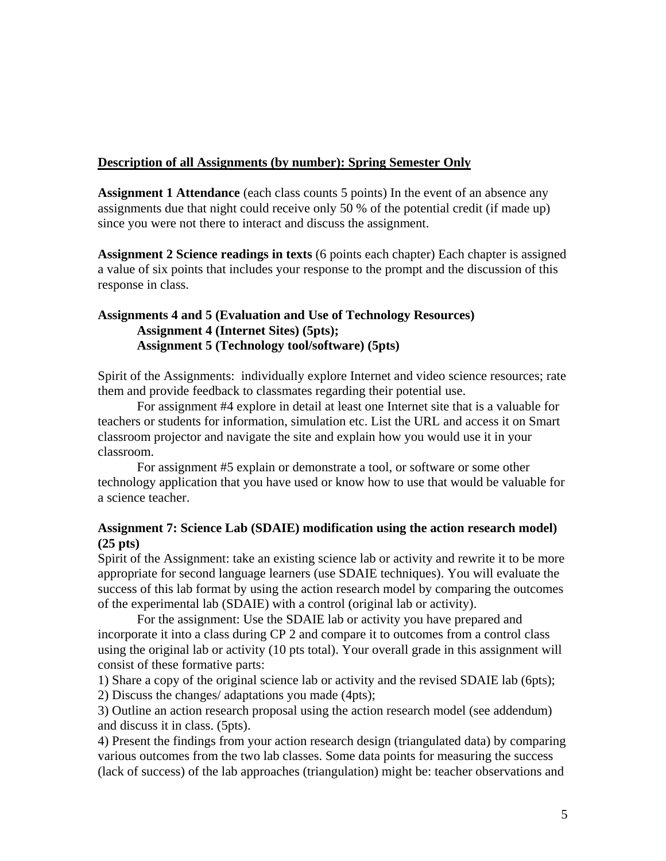#### **Description of all Assignments (by number): Spring Semester Only**

**Assignment 1 Attendance** (each class counts 5 points) In the event of an absence any assignments due that night could receive only 50 % of the potential credit (if made up) since you were not there to interact and discuss the assignment.

**Assignment 2 Science readings in texts** (6 points each chapter) Each chapter is assigned a value of six points that includes your response to the prompt and the discussion of this response in class.

### **Assignments 4 and 5 (Evaluation and Use of Technology Resources) Assignment 4 (Internet Sites) (5pts); Assignment 5 (Technology tool/software) (5pts)**

Spirit of the Assignments: individually explore Internet and video science resources; rate them and provide feedback to classmates regarding their potential use.

For assignment #4 explore in detail at least one Internet site that is a valuable for teachers or students for information, simulation etc. List the URL and access it on Smart classroom projector and navigate the site and explain how you would use it in your classroom.

For assignment #5 explain or demonstrate a tool, or software or some other technology application that you have used or know how to use that would be valuable for a science teacher.

### **Assignment 7: Science Lab (SDAIE) modification using the action research model) (25 pts)**

Spirit of the Assignment: take an existing science lab or activity and rewrite it to be more appropriate for second language learners (use SDAIE techniques). You will evaluate the success of this lab format by using the action research model by comparing the outcomes of the experimental lab (SDAIE) with a control (original lab or activity).

For the assignment: Use the SDAIE lab or activity you have prepared and incorporate it into a class during CP 2 and compare it to outcomes from a control class using the original lab or activity (10 pts total). Your overall grade in this assignment will consist of these formative parts:

1) Share a copy of the original science lab or activity and the revised SDAIE lab (6pts);

2) Discuss the changes/ adaptations you made (4pts);

3) Outline an action research proposal using the action research model (see addendum) and discuss it in class. (5pts).

4) Present the findings from your action research design (triangulated data) by comparing various outcomes from the two lab classes. Some data points for measuring the success (lack of success) of the lab approaches (triangulation) might be: teacher observations and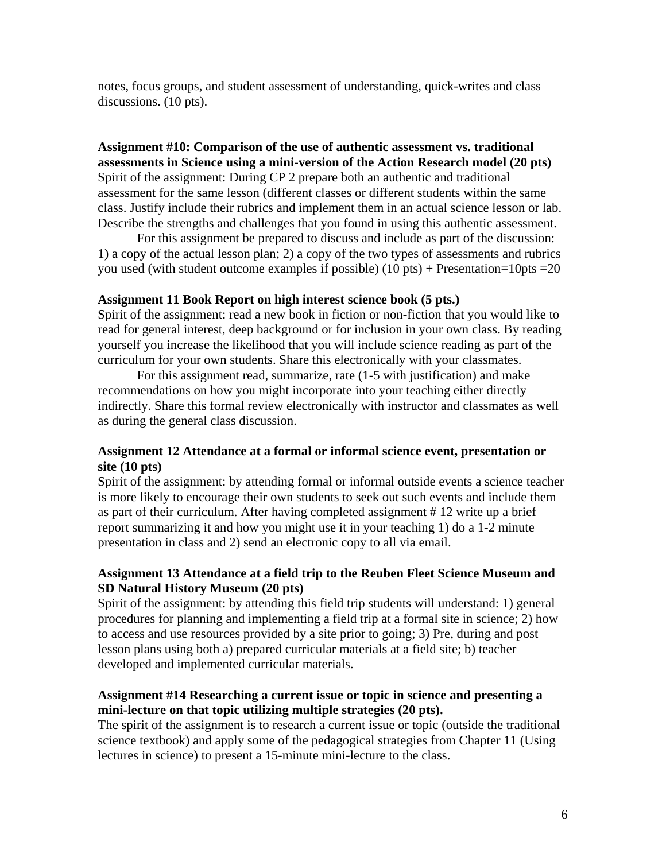notes, focus groups, and student assessment of understanding, quick-writes and class discussions. (10 pts).

**Assignment #10: Comparison of the use of authentic assessment vs. traditional assessments in Science using a mini-version of the Action Research model (20 pts)**  Spirit of the assignment: During CP 2 prepare both an authentic and traditional assessment for the same lesson (different classes or different students within the same class. Justify include their rubrics and implement them in an actual science lesson or lab. Describe the strengths and challenges that you found in using this authentic assessment.

For this assignment be prepared to discuss and include as part of the discussion: 1) a copy of the actual lesson plan; 2) a copy of the two types of assessments and rubrics you used (with student outcome examples if possible)  $(10 \text{ pts}) + \text{Presentation} = 10 \text{ pts} = 20$ 

#### **Assignment 11 Book Report on high interest science book (5 pts.)**

Spirit of the assignment: read a new book in fiction or non-fiction that you would like to read for general interest, deep background or for inclusion in your own class. By reading yourself you increase the likelihood that you will include science reading as part of the curriculum for your own students. Share this electronically with your classmates.

For this assignment read, summarize, rate (1-5 with justification) and make recommendations on how you might incorporate into your teaching either directly indirectly. Share this formal review electronically with instructor and classmates as well as during the general class discussion.

### **Assignment 12 Attendance at a formal or informal science event, presentation or site (10 pts)**

Spirit of the assignment: by attending formal or informal outside events a science teacher is more likely to encourage their own students to seek out such events and include them as part of their curriculum. After having completed assignment # 12 write up a brief report summarizing it and how you might use it in your teaching 1) do a 1-2 minute presentation in class and 2) send an electronic copy to all via email.

### **Assignment 13 Attendance at a field trip to the Reuben Fleet Science Museum and SD Natural History Museum (20 pts)**

Spirit of the assignment: by attending this field trip students will understand: 1) general procedures for planning and implementing a field trip at a formal site in science; 2) how to access and use resources provided by a site prior to going; 3) Pre, during and post lesson plans using both a) prepared curricular materials at a field site; b) teacher developed and implemented curricular materials.

### **Assignment #14 Researching a current issue or topic in science and presenting a mini-lecture on that topic utilizing multiple strategies (20 pts).**

The spirit of the assignment is to research a current issue or topic (outside the traditional science textbook) and apply some of the pedagogical strategies from Chapter 11 (Using lectures in science) to present a 15-minute mini-lecture to the class.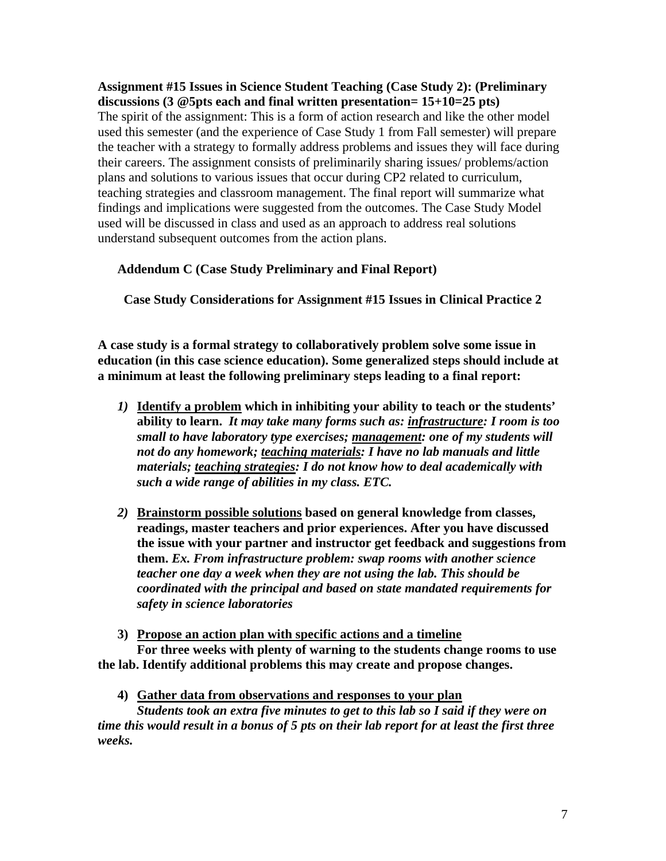### **Assignment #15 Issues in Science Student Teaching (Case Study 2): (Preliminary discussions (3 @5pts each and final written presentation= 15+10=25 pts)**

The spirit of the assignment: This is a form of action research and like the other model used this semester (and the experience of Case Study 1 from Fall semester) will prepare the teacher with a strategy to formally address problems and issues they will face during their careers. The assignment consists of preliminarily sharing issues/ problems/action plans and solutions to various issues that occur during CP2 related to curriculum, teaching strategies and classroom management. The final report will summarize what findings and implications were suggested from the outcomes. The Case Study Model used will be discussed in class and used as an approach to address real solutions understand subsequent outcomes from the action plans.

# **Addendum C (Case Study Preliminary and Final Report)**

Case Study Considerations for Assignment #15 Issues in Clinical Practice 2

**A case study is a formal strategy to collaboratively problem solve some issue in education (in this case science education). Some generalized steps should include at a minimum at least the following preliminary steps leading to a final report:** 

- *1)* **Identify a problem which in inhibiting your ability to teach or the students' ability to learn.** *It may take many forms such as: infrastructure: I room is too small to have laboratory type exercises; management: one of my students will not do any homework; teaching materials: I have no lab manuals and little materials; teaching strategies: I do not know how to deal academically with such a wide range of abilities in my class. ETC.*
- *2)* **Brainstorm possible solutions based on general knowledge from classes, readings, master teachers and prior experiences. After you have discussed the issue with your partner and instructor get feedback and suggestions from them.** *Ex. From infrastructure problem: swap rooms with another science teacher one day a week when they are not using the lab. This should be coordinated with the principal and based on state mandated requirements for safety in science laboratories*

#### **3) Propose an action plan with specific actions and a timeline For three weeks with plenty of warning to the students change rooms to use the lab. Identify additional problems this may create and propose changes.**

**4) Gather data from observations and responses to your plan** 

*Students took an extra five minutes to get to this lab so I said if they were on time this would result in a bonus of 5 pts on their lab report for at least the first three weeks.*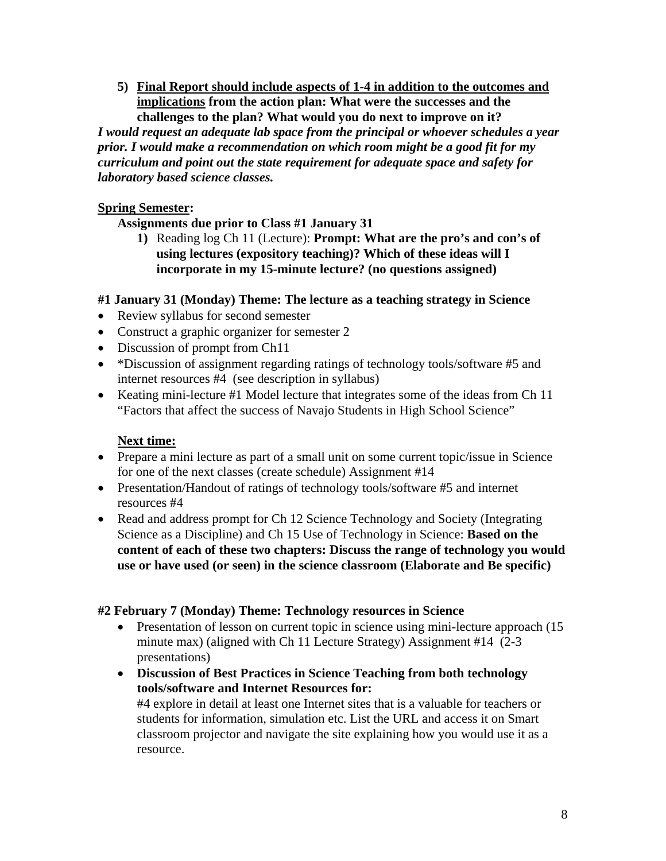**5) Final Report should include aspects of 1-4 in addition to the outcomes and implications from the action plan: What were the successes and the challenges to the plan? What would you do next to improve on it?** 

*I would request an adequate lab space from the principal or whoever schedules a year prior. I would make a recommendation on which room might be a good fit for my curriculum and point out the state requirement for adequate space and safety for laboratory based science classes.* 

# **Spring Semester:**

# **Assignments due prior to Class #1 January 31**

**1)** Reading log Ch 11 (Lecture): **Prompt: What are the pro's and con's of using lectures (expository teaching)? Which of these ideas will I incorporate in my 15-minute lecture? (no questions assigned)** 

# **#1 January 31 (Monday) Theme: The lecture as a teaching strategy in Science**

- Review syllabus for second semester
- Construct a graphic organizer for semester 2
- Discussion of prompt from Ch11
- \*Discussion of assignment regarding ratings of technology tools/software #5 and internet resources #4 (see description in syllabus)
- Keating mini-lecture #1 Model lecture that integrates some of the ideas from Ch 11 "Factors that affect the success of Navajo Students in High School Science"

# **Next time:**

- Prepare a mini lecture as part of a small unit on some current topic/issue in Science for one of the next classes (create schedule) Assignment #14
- Presentation/Handout of ratings of technology tools/software #5 and internet resources #4
- Read and address prompt for Ch 12 Science Technology and Society (Integrating Science as a Discipline) and Ch 15 Use of Technology in Science: **Based on the content of each of these two chapters: Discuss the range of technology you would use or have used (or seen) in the science classroom (Elaborate and Be specific)**

# **#2 February 7 (Monday) Theme: Technology resources in Science**

- Presentation of lesson on current topic in science using mini-lecture approach (15 minute max) (aligned with Ch 11 Lecture Strategy) Assignment #14 (2-3) presentations)
- **Discussion of Best Practices in Science Teaching from both technology tools/software and Internet Resources for:**

#4 explore in detail at least one Internet sites that is a valuable for teachers or students for information, simulation etc. List the URL and access it on Smart classroom projector and navigate the site explaining how you would use it as a resource.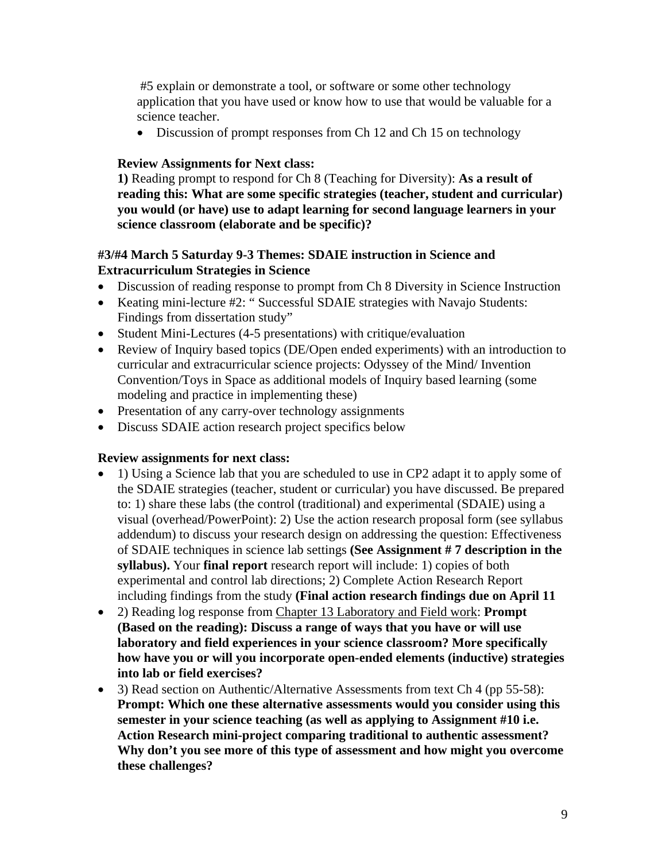#5 explain or demonstrate a tool, or software or some other technology application that you have used or know how to use that would be valuable for a science teacher.

• Discussion of prompt responses from Ch 12 and Ch 15 on technology

# **Review Assignments for Next class:**

**1)** Reading prompt to respond for Ch 8 (Teaching for Diversity): **As a result of reading this: What are some specific strategies (teacher, student and curricular) you would (or have) use to adapt learning for second language learners in your science classroom (elaborate and be specific)?** 

# **#3/#4 March 5 Saturday 9-3 Themes: SDAIE instruction in Science and Extracurriculum Strategies in Science**

- Discussion of reading response to prompt from Ch 8 Diversity in Science Instruction
- Keating mini-lecture #2: " Successful SDAIE strategies with Navajo Students: Findings from dissertation study"
- Student Mini-Lectures (4-5 presentations) with critique/evaluation
- Review of Inquiry based topics (DE/Open ended experiments) with an introduction to curricular and extracurricular science projects: Odyssey of the Mind/ Invention Convention/Toys in Space as additional models of Inquiry based learning (some modeling and practice in implementing these)
- Presentation of any carry-over technology assignments
- Discuss SDAIE action research project specifics below

# **Review assignments for next class:**

- 1) Using a Science lab that you are scheduled to use in CP2 adapt it to apply some of the SDAIE strategies (teacher, student or curricular) you have discussed. Be prepared to: 1) share these labs (the control (traditional) and experimental (SDAIE) using a visual (overhead/PowerPoint): 2) Use the action research proposal form (see syllabus addendum) to discuss your research design on addressing the question: Effectiveness of SDAIE techniques in science lab settings **(See Assignment # 7 description in the syllabus).** Your **final report** research report will include: 1) copies of both experimental and control lab directions; 2) Complete Action Research Report including findings from the study **(Final action research findings due on April 11**
- 2) Reading log response from Chapter 13 Laboratory and Field work: **Prompt (Based on the reading): Discuss a range of ways that you have or will use laboratory and field experiences in your science classroom? More specifically how have you or will you incorporate open-ended elements (inductive) strategies into lab or field exercises?**
- 3) Read section on Authentic/Alternative Assessments from text Ch 4 (pp 55-58): **Prompt: Which one these alternative assessments would you consider using this semester in your science teaching (as well as applying to Assignment #10 i.e. Action Research mini-project comparing traditional to authentic assessment? Why don't you see more of this type of assessment and how might you overcome these challenges?**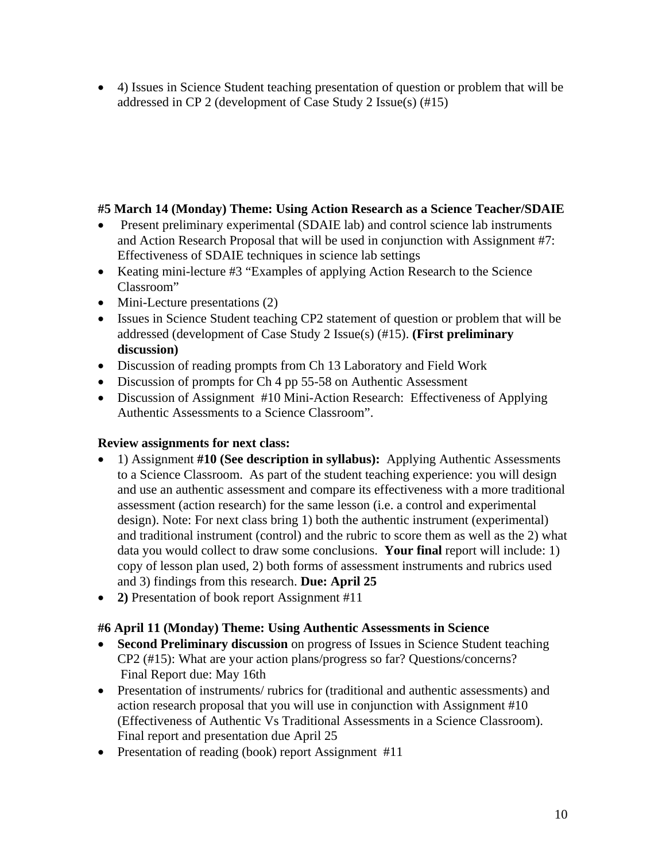4) Issues in Science Student teaching presentation of question or problem that will be addressed in CP 2 (development of Case Study 2 Issue(s) (#15)

# **#5 March 14 (Monday) Theme: Using Action Research as a Science Teacher/SDAIE**

- Present preliminary experimental (SDAIE lab) and control science lab instruments and Action Research Proposal that will be used in conjunction with Assignment #7: Effectiveness of SDAIE techniques in science lab settings
- Keating mini-lecture #3 "Examples of applying Action Research to the Science Classroom"
- Mini-Lecture presentations (2)
- Issues in Science Student teaching CP2 statement of question or problem that will be addressed (development of Case Study 2 Issue(s) (#15). **(First preliminary discussion)**
- Discussion of reading prompts from Ch 13 Laboratory and Field Work
- Discussion of prompts for Ch 4 pp 55-58 on Authentic Assessment
- Discussion of Assignment #10 Mini-Action Research: Effectiveness of Applying Authentic Assessments to a Science Classroom".

# **Review assignments for next class:**

- 1) Assignment **#10 (See description in syllabus):** Applying Authentic Assessments to a Science Classroom. As part of the student teaching experience: you will design and use an authentic assessment and compare its effectiveness with a more traditional assessment (action research) for the same lesson (i.e. a control and experimental design). Note: For next class bring 1) both the authentic instrument (experimental) and traditional instrument (control) and the rubric to score them as well as the 2) what data you would collect to draw some conclusions. **Your final** report will include: 1) copy of lesson plan used, 2) both forms of assessment instruments and rubrics used and 3) findings from this research. **Due: April 25**
- **2)** Presentation of book report Assignment #11

# **#6 April 11 (Monday) Theme: Using Authentic Assessments in Science**

- **Second Preliminary discussion** on progress of Issues in Science Student teaching CP2 (#15): What are your action plans/progress so far? Questions/concerns? Final Report due: May 16th
- Presentation of instruments/ rubrics for (traditional and authentic assessments) and action research proposal that you will use in conjunction with Assignment #10 (Effectiveness of Authentic Vs Traditional Assessments in a Science Classroom). Final report and presentation due April 25
- Presentation of reading (book) report Assignment #11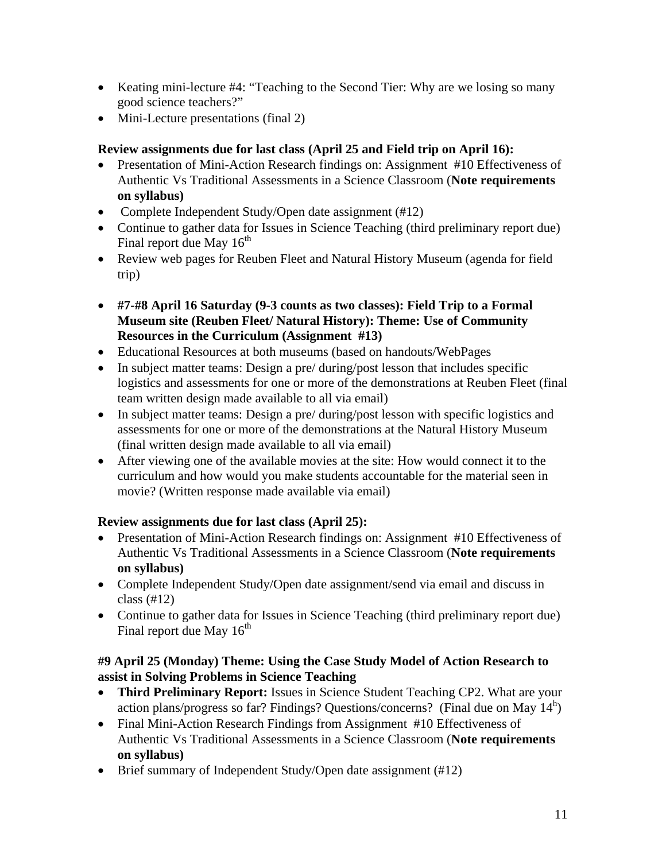- Keating mini-lecture #4: "Teaching to the Second Tier: Why are we losing so many good science teachers?"
- Mini-Lecture presentations (final 2)

# **Review assignments due for last class (April 25 and Field trip on April 16):**

- Presentation of Mini-Action Research findings on: Assignment #10 Effectiveness of Authentic Vs Traditional Assessments in a Science Classroom (**Note requirements on syllabus)**
- Complete Independent Study/Open date assignment (#12)
- Continue to gather data for Issues in Science Teaching (third preliminary report due) Final report due May  $16<sup>th</sup>$
- Review web pages for Reuben Fleet and Natural History Museum (agenda for field trip)
- **#7-#8 April 16 Saturday (9-3 counts as two classes): Field Trip to a Formal Museum site (Reuben Fleet/ Natural History): Theme: Use of Community Resources in the Curriculum (Assignment #13)**
- Educational Resources at both museums (based on handouts/WebPages
- In subject matter teams: Design a pre/ during/post lesson that includes specific logistics and assessments for one or more of the demonstrations at Reuben Fleet (final team written design made available to all via email)
- In subject matter teams: Design a pre/ during/post lesson with specific logistics and assessments for one or more of the demonstrations at the Natural History Museum (final written design made available to all via email)
- After viewing one of the available movies at the site: How would connect it to the curriculum and how would you make students accountable for the material seen in movie? (Written response made available via email)

# **Review assignments due for last class (April 25):**

- Presentation of Mini-Action Research findings on: Assignment #10 Effectiveness of Authentic Vs Traditional Assessments in a Science Classroom (**Note requirements on syllabus)**
- Complete Independent Study/Open date assignment/send via email and discuss in class (#12)
- Continue to gather data for Issues in Science Teaching (third preliminary report due) Final report due May  $16^{th}$

# **#9 April 25 (Monday) Theme: Using the Case Study Model of Action Research to assist in Solving Problems in Science Teaching**

- **Third Preliminary Report:** Issues in Science Student Teaching CP2. What are your action plans/progress so far? Findings? Questions/concerns? (Final due on May  $14<sup>h</sup>$ )
- Final Mini-Action Research Findings from Assignment #10 Effectiveness of Authentic Vs Traditional Assessments in a Science Classroom (**Note requirements on syllabus)**
- Brief summary of Independent Study/Open date assignment (#12)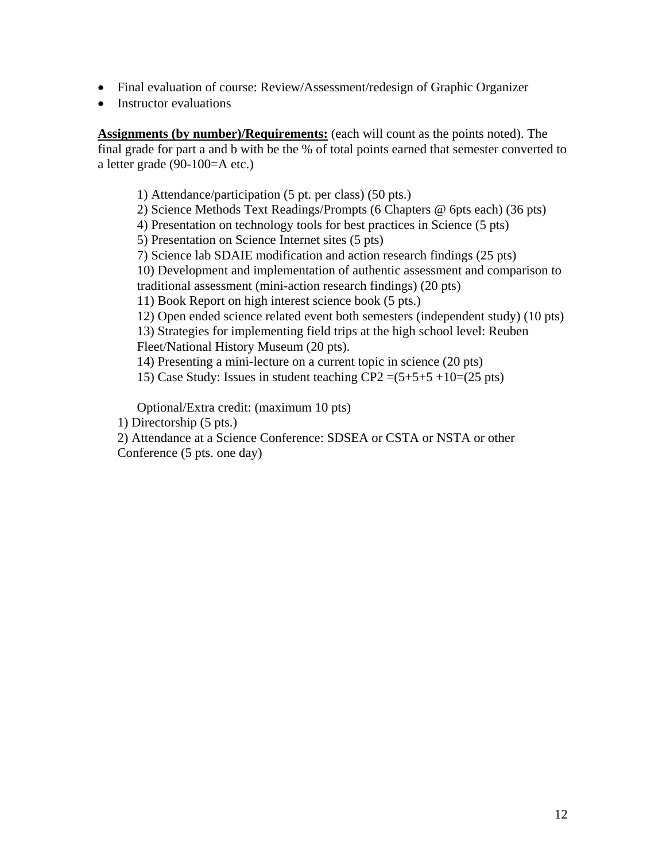- Final evaluation of course: Review/Assessment/redesign of Graphic Organizer
- Instructor evaluations

**Assignments (by number)/Requirements:** (each will count as the points noted). The final grade for part a and b with be the % of total points earned that semester converted to a letter grade (90-100=A etc.)

1) Attendance/participation (5 pt. per class) (50 pts.) 2) Science Methods Text Readings/Prompts (6 Chapters @ 6pts each) (36 pts) 4) Presentation on technology tools for best practices in Science (5 pts) 5) Presentation on Science Internet sites (5 pts) 7) Science lab SDAIE modification and action research findings (25 pts) 10) Development and implementation of authentic assessment and comparison to traditional assessment (mini-action research findings) (20 pts) 11) Book Report on high interest science book (5 pts.) 12) Open ended science related event both semesters (independent study) (10 pts) 13) Strategies for implementing field trips at the high school level: Reuben Fleet/National History Museum (20 pts). 14) Presenting a mini-lecture on a current topic in science (20 pts) 15) Case Study: Issues in student teaching  $CP2 = (5+5+5+10= (25 \text{ pts})$ 

Optional/Extra credit: (maximum 10 pts)

- 1) Directorship (5 pts.)
- 2) Attendance at a Science Conference: SDSEA or CSTA or NSTA or other

Conference (5 pts. one day)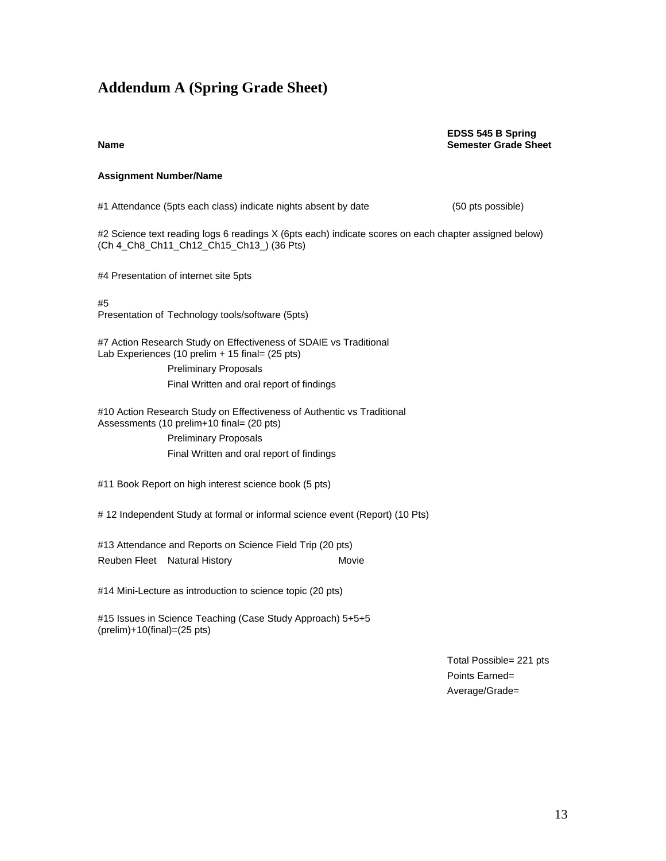# **Addendum A (Spring Grade Sheet)**

#### **EDSS 545 B Spring Name** Semester Grade Sheet **Sheet Semester Grade Sheet**

#### **Assignment Number/Name**

#1 Attendance (5pts each class) indicate nights absent by date (50 pts possible)

#2 Science text reading logs 6 readings X (6pts each) indicate scores on each chapter assigned below) (Ch 4\_Ch8\_Ch11\_Ch12\_Ch15\_Ch13\_) (36 Pts)

#4 Presentation of internet site 5pts

#5

Presentation of Technology tools/software (5pts)

#7 Action Research Study on Effectiveness of SDAIE vs Traditional Lab Experiences (10 prelim + 15 final= (25 pts)

> Preliminary Proposals Final Written and oral report of findings

#10 Action Research Study on Effectiveness of Authentic vs Traditional Assessments (10 prelim+10 final= (20 pts)

> Preliminary Proposals Final Written and oral report of findings

#11 Book Report on high interest science book (5 pts)

# 12 Independent Study at formal or informal science event (Report) (10 Pts)

#13 Attendance and Reports on Science Field Trip (20 pts) Reuben Fleet Natural History Movie

#14 Mini-Lecture as introduction to science topic (20 pts)

#15 Issues in Science Teaching (Case Study Approach) 5+5+5 (prelim)+10(final)=(25 pts)

> Total Possible= 221 pts Points Earned= Average/Grade=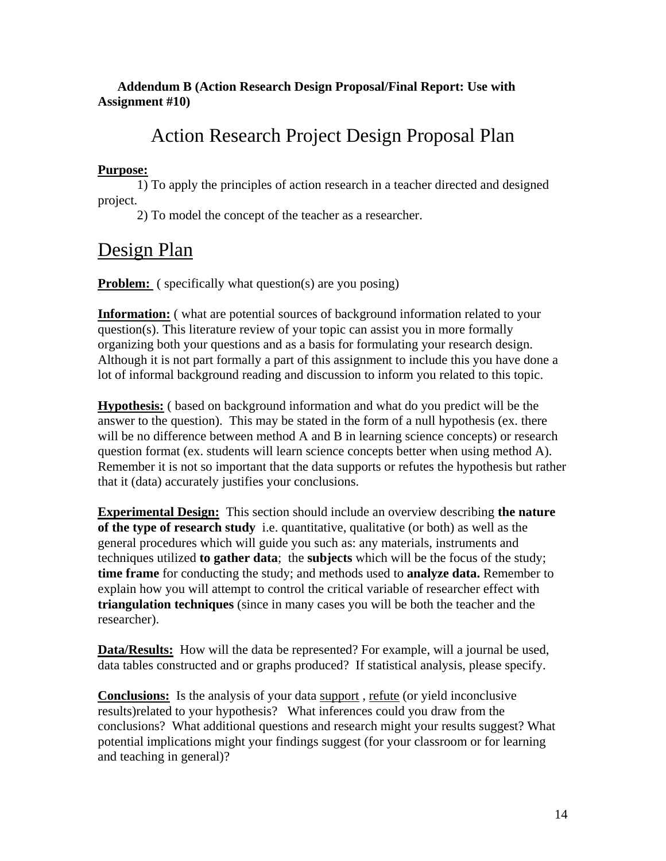# **Addendum B (Action Research Design Proposal/Final Report: Use with Assignment #10)**

# Action Research Project Design Proposal Plan

# **Purpose:**

1) To apply the principles of action research in a teacher directed and designed project.

2) To model the concept of the teacher as a researcher.

# Design Plan

**Problem:** ( specifically what question(s) are you posing)

**Information:** ( what are potential sources of background information related to your question(s). This literature review of your topic can assist you in more formally organizing both your questions and as a basis for formulating your research design. Although it is not part formally a part of this assignment to include this you have done a lot of informal background reading and discussion to inform you related to this topic.

**Hypothesis:** ( based on background information and what do you predict will be the answer to the question). This may be stated in the form of a null hypothesis (ex. there will be no difference between method A and B in learning science concepts) or research question format (ex. students will learn science concepts better when using method A). Remember it is not so important that the data supports or refutes the hypothesis but rather that it (data) accurately justifies your conclusions.

**Experimental Design:** This section should include an overview describing **the nature of the type of research study** i.e. quantitative, qualitative (or both) as well as the general procedures which will guide you such as: any materials, instruments and techniques utilized **to gather data**; the **subjects** which will be the focus of the study; **time frame** for conducting the study; and methods used to **analyze data.** Remember to explain how you will attempt to control the critical variable of researcher effect with **triangulation techniques** (since in many cases you will be both the teacher and the researcher).

**Data/Results:** How will the data be represented? For example, will a journal be used, data tables constructed and or graphs produced? If statistical analysis, please specify.

**Conclusions:** Is the analysis of your data support , refute (or yield inconclusive results)related to your hypothesis? What inferences could you draw from the conclusions? What additional questions and research might your results suggest? What potential implications might your findings suggest (for your classroom or for learning and teaching in general)?